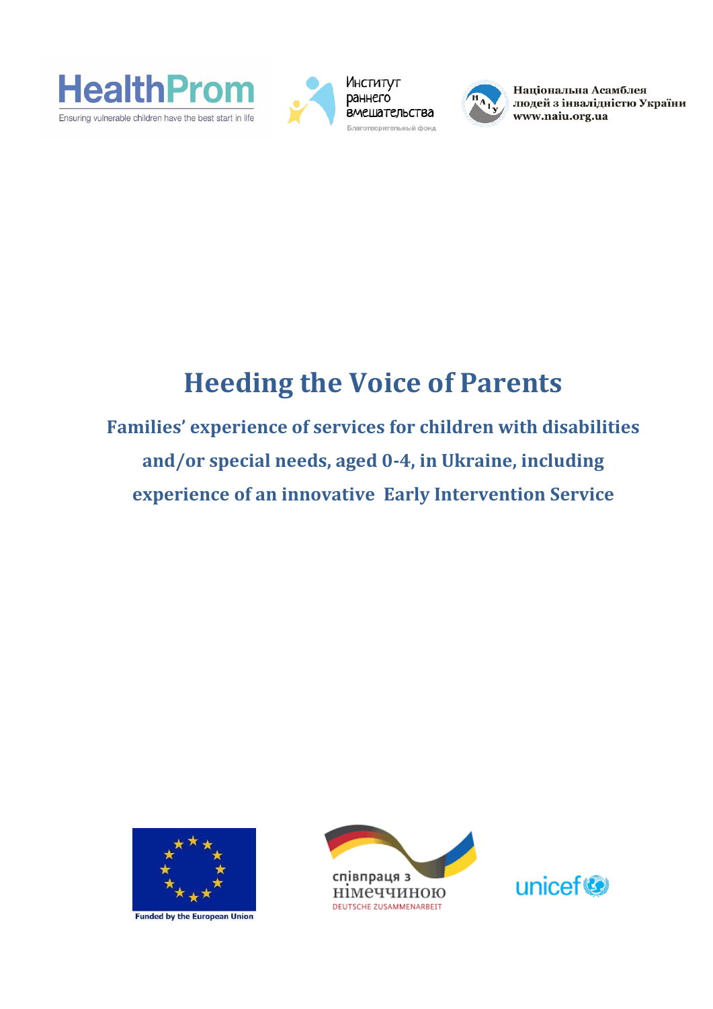





Національна Асамблея людей з інвалідністю України www.naiu.org.ua

## **Heeding the Voice of Parents**

**Families' experience of services for children with disabilities and/or special needs, aged 0-4, in Ukraine, including experience of an innovative Early Intervention Service**



**Funded by the European Union** 



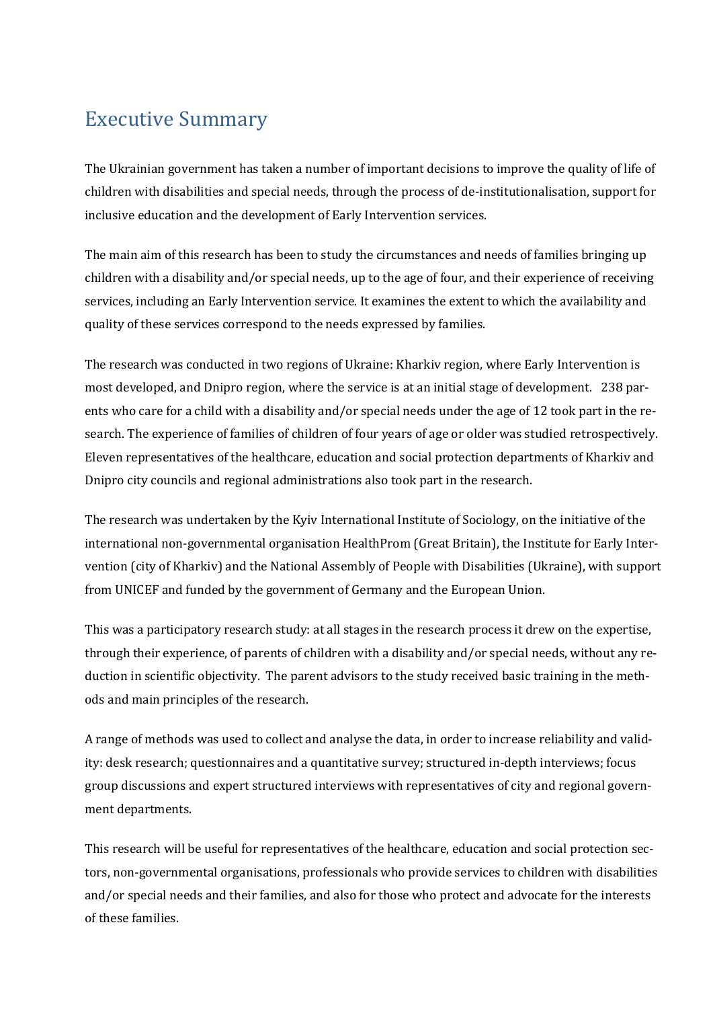## Executive Summary

The Ukrainian government has taken a number of important decisions to improve the quality of life of children with disabilities and special needs, through the process of de-institutionalisation, support for inclusive education and the development of Early Intervention services.

The main aim of this research has been to study the circumstances and needs of families bringing up children with a disability and/or special needs, up to the age of four, and their experience of receiving services, including an Early Intervention service. It examines the extent to which the availability and quality of these services correspond to the needs expressed by families.

The research was conducted in two regions of Ukraine: Kharkiv region, where Early Intervention is most developed, and Dnipro region, where the service is at an initial stage of development. 238 parents who care for a child with a disability and/or special needs under the age of 12 took part in the research. The experience of families of children of four years of age or older was studied retrospectively. Eleven representatives of the healthcare, education and social protection departments of Kharkiv and Dnipro city councils and regional administrations also took part in the research.

The research was undertaken by the Kyiv International Institute of Sociology, on the initiative of the international non-governmental organisation HealthProm (Great Britain), the Institute for Early Intervention (city of Kharkiv) and the National Assembly of People with Disabilities (Ukraine), with support from UNICEF and funded by the government of Germany and the European Union.

This was a participatory research study: at all stages in the research process it drew on the expertise, through their experience, of parents of children with a disability and/or special needs, without any reduction in scientific objectivity. The parent advisors to the study received basic training in the methods and main principles of the research.

A range of methods was used to collect and analyse the data, in order to increase reliability and validity: desk research; questionnaires and a quantitative survey; structured in-depth interviews; focus group discussions and expert structured interviews with representatives of city and regional government departments.

This research will be useful for representatives of the healthcare, education and social protection sectors, non-governmental organisations, professionals who provide services to children with disabilities and/or special needs and their families, and also for those who protect and advocate for the interests of these families.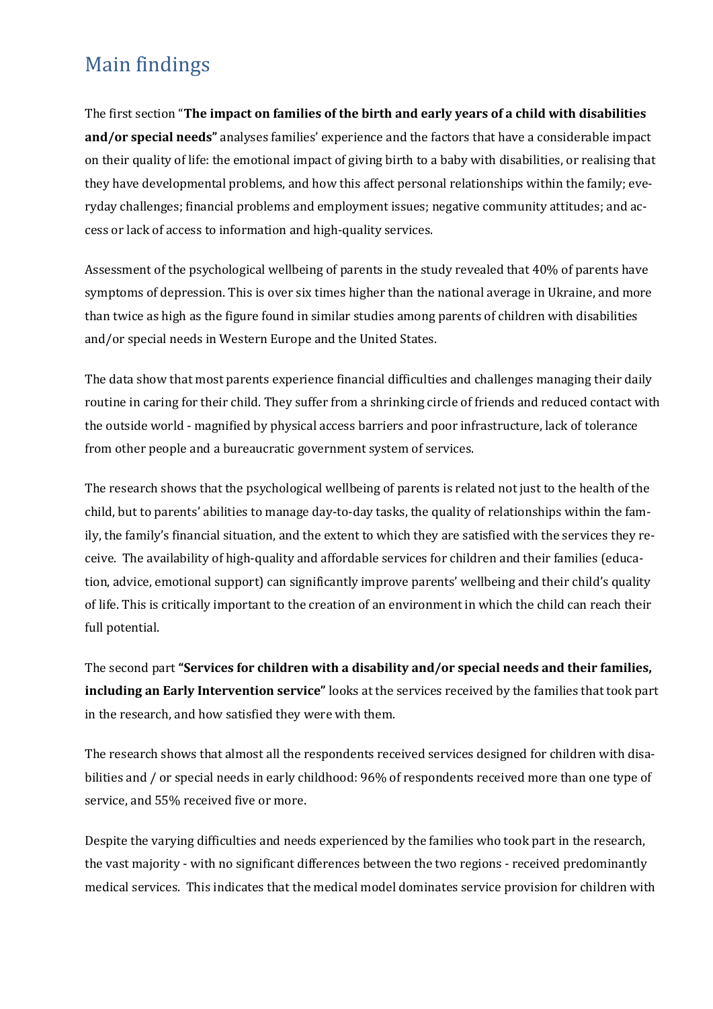## Main findings

The first section "**The impact on families of the birth and early years of a child with disabilities and/or special needs"** analyses families' experience and the factors that have a considerable impact on their quality of life: the emotional impact of giving birth to a baby with disabilities, or realising that they have developmental problems, and how this affect personal relationships within the family; everyday challenges; financial problems and employment issues; negative community attitudes; and access or lack of access to information and high-quality services.

Assessment of the psychological wellbeing of parents in the study revealed that 40% of parents have symptoms of depression. This is over six times higher than the national average in Ukraine, and more than twice as high as the figure found in similar studies among parents of children with disabilities and/or special needs in Western Europe and the United States.

The data show that most parents experience financial difficulties and challenges managing their daily routine in caring for their child. They suffer from a shrinking circle of friends and reduced contact with the outside world - magnified by physical access barriers and poor infrastructure, lack of tolerance from other people and a bureaucratic government system of services.

The research shows that the psychological wellbeing of parents is related not just to the health of the child, but to parents' abilities to manage day-to-day tasks, the quality of relationships within the family, the family's financial situation, and the extent to which they are satisfied with the services they receive. The availability of high-quality and affordable services for children and their families (education, advice, emotional support) can significantly improve parents' wellbeing and their child's quality of life. This is critically important to the creation of an environment in which the child can reach their full potential.

The second part **"Services for children with a disability and/or special needs and their families, including an Early Intervention service"** looks at the services received by the families that took part in the research, and how satisfied they were with them.

The research shows that almost all the respondents received services designed for children with disabilities and / or special needs in early childhood: 96% of respondents received more than one type of service, and 55% received five or more.

Despite the varying difficulties and needs experienced by the families who took part in the research, the vast majority - with no significant differences between the two regions - received predominantly medical services. This indicates that the medical model dominates service provision for children with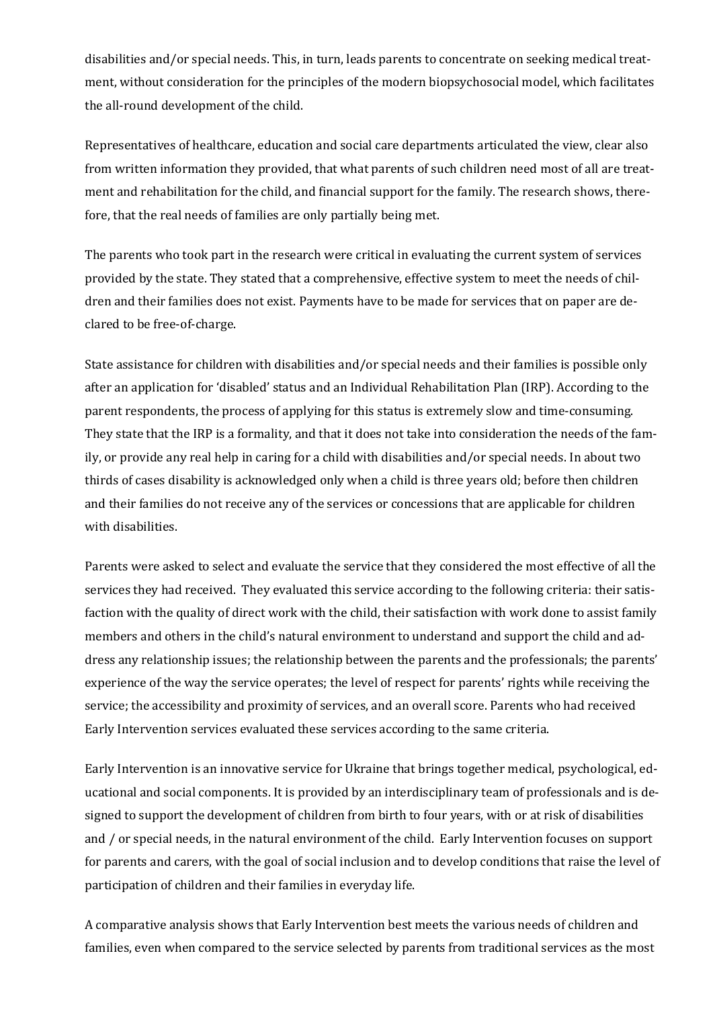disabilities and/or special needs. This, in turn, leads parents to concentrate on seeking medical treatment, without consideration for the principles of the modern biopsychosocial model, which facilitates the all-round development of the child.

Representatives of healthcare, education and social care departments articulated the view, clear also from written information they provided, that what parents of such children need most of all are treatment and rehabilitation for the child, and financial support for the family. The research shows, therefore, that the real needs of families are only partially being met.

The parents who took part in the research were critical in evaluating the current system of services provided by the state. They stated that a comprehensive, effective system to meet the needs of children and their families does not exist. Payments have to be made for services that on paper are declared to be free-of-charge.

State assistance for children with disabilities and/or special needs and their families is possible only after an application for 'disabled' status and an Individual Rehabilitation Plan (IRP). According to the parent respondents, the process of applying for this status is extremely slow and time-consuming. They state that the IRP is a formality, and that it does not take into consideration the needs of the family, or provide any real help in caring for a child with disabilities and/or special needs. In about two thirds of cases disability is acknowledged only when a child is three years old; before then children and their families do not receive any of the services or concessions that are applicable for children with disabilities.

Parents were asked to select and evaluate the service that they considered the most effective of all the services they had received. They evaluated this service according to the following criteria: their satisfaction with the quality of direct work with the child, their satisfaction with work done to assist family members and others in the child's natural environment to understand and support the child and address any relationship issues; the relationship between the parents and the professionals; the parents' experience of the way the service operates; the level of respect for parents' rights while receiving the service; the accessibility and proximity of services, and an overall score. Parents who had received Early Intervention services evaluated these services according to the same criteria.

Early Intervention is an innovative service for Ukraine that brings together medical, psychological, educational and social components. It is provided by an interdisciplinary team of professionals and is designed to support the development of children from birth to four years, with or at risk of disabilities and / or special needs, in the natural environment of the child. Early Intervention focuses on support for parents and carers, with the goal of social inclusion and to develop conditions that raise the level of participation of children and their families in everyday life.

A comparative analysis shows that Early Intervention best meets the various needs of children and families, even when compared to the service selected by parents from traditional services as the most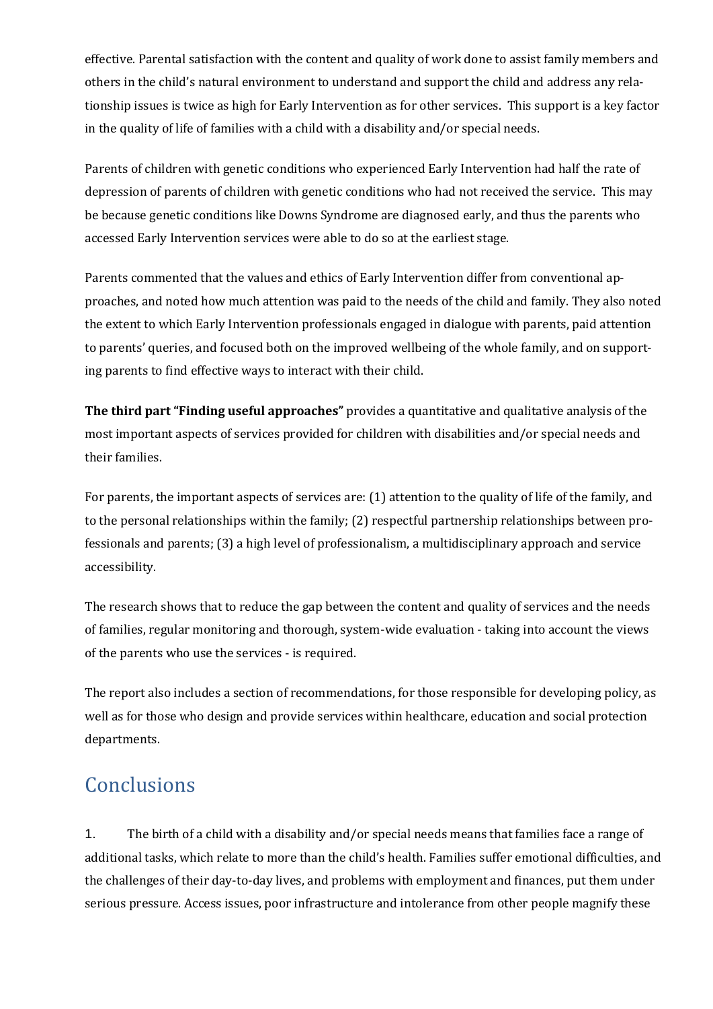effective. Parental satisfaction with the content and quality of work done to assist family members and others in the child's natural environment to understand and support the child and address any relationship issues is twice as high for Early Intervention as for other services. This support is a key factor in the quality of life of families with a child with a disability and/or special needs.

Parents of children with genetic conditions who experienced Early Intervention had half the rate of depression of parents of children with genetic conditions who had not received the service. This may be because genetic conditions like Downs Syndrome are diagnosed early, and thus the parents who accessed Early Intervention services were able to do so at the earliest stage.

Parents commented that the values and ethics of Early Intervention differ from conventional approaches, and noted how much attention was paid to the needs of the child and family. They also noted the extent to which Early Intervention professionals engaged in dialogue with parents, paid attention to parents' queries, and focused both on the improved wellbeing of the whole family, and on supporting parents to find effective ways to interact with their child.

**The third part "Finding useful approaches"** provides a quantitative and qualitative analysis of the most important aspects of services provided for children with disabilities and/or special needs and their families.

For parents, the important aspects of services are: (1) attention to the quality of life of the family, and to the personal relationships within the family; (2) respectful partnership relationships between professionals and parents; (3) a high level of professionalism, a multidisciplinary approach and service accessibility.

The research shows that to reduce the gap between the content and quality of services and the needs of families, regular monitoring and thorough, system-wide evaluation - taking into account the views of the parents who use the services - is required.

The report also includes a section of recommendations, for those responsible for developing policy, as well as for those who design and provide services within healthcare, education and social protection departments.

## **Conclusions**

1. The birth of a child with a disability and/or special needs means that families face a range of additional tasks, which relate to more than the child's health. Families suffer emotional difficulties, and the challenges of their day-to-day lives, and problems with employment and finances, put them under serious pressure. Access issues, poor infrastructure and intolerance from other people magnify these